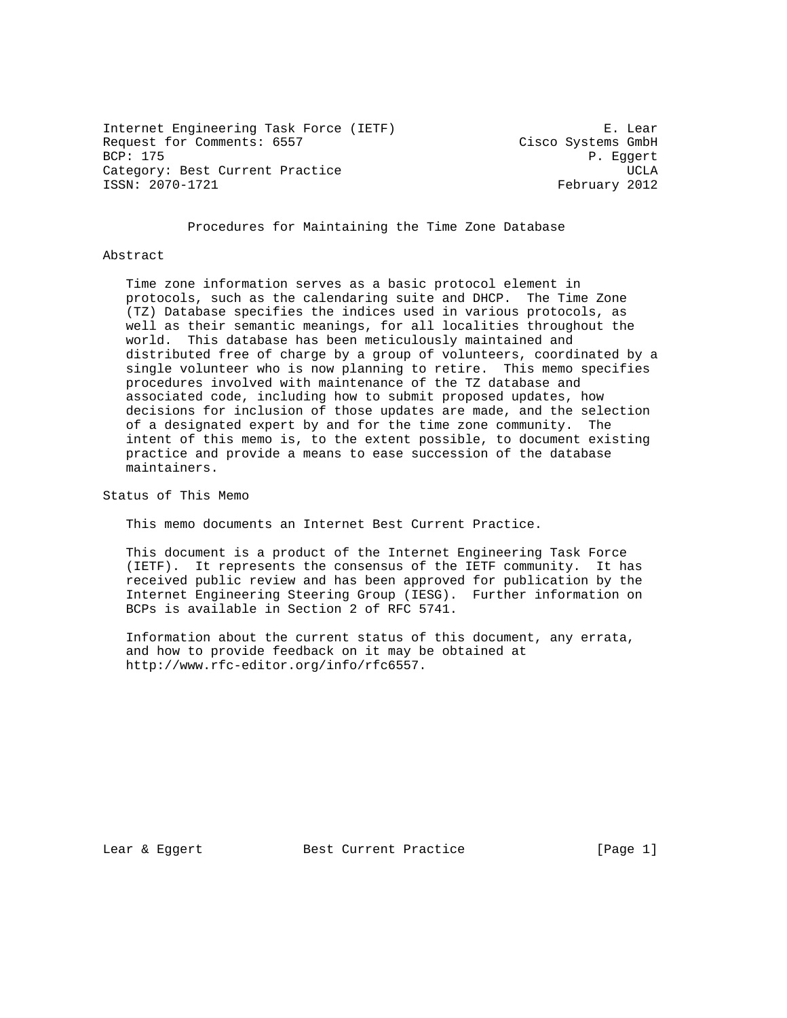Internet Engineering Task Force (IETF) E. Lear<br>Request for Comments: 6557 Cisco Systems GmbH Request for Comments: 6557<br>BCP: 175 Category: Best Current Practice and Controller and Controller and Controller and Controller and Controller and UCLA ISSN: 2070-1721 February 2012

P. Eggert

Procedures for Maintaining the Time Zone Database

#### Abstract

 Time zone information serves as a basic protocol element in protocols, such as the calendaring suite and DHCP. The Time Zone (TZ) Database specifies the indices used in various protocols, as well as their semantic meanings, for all localities throughout the world. This database has been meticulously maintained and distributed free of charge by a group of volunteers, coordinated by a single volunteer who is now planning to retire. This memo specifies procedures involved with maintenance of the TZ database and associated code, including how to submit proposed updates, how decisions for inclusion of those updates are made, and the selection of a designated expert by and for the time zone community. The intent of this memo is, to the extent possible, to document existing practice and provide a means to ease succession of the database maintainers.

Status of This Memo

This memo documents an Internet Best Current Practice.

 This document is a product of the Internet Engineering Task Force (IETF). It represents the consensus of the IETF community. It has received public review and has been approved for publication by the Internet Engineering Steering Group (IESG). Further information on BCPs is available in Section 2 of RFC 5741.

 Information about the current status of this document, any errata, and how to provide feedback on it may be obtained at http://www.rfc-editor.org/info/rfc6557.

Lear & Eggert Best Current Practice [Page 1]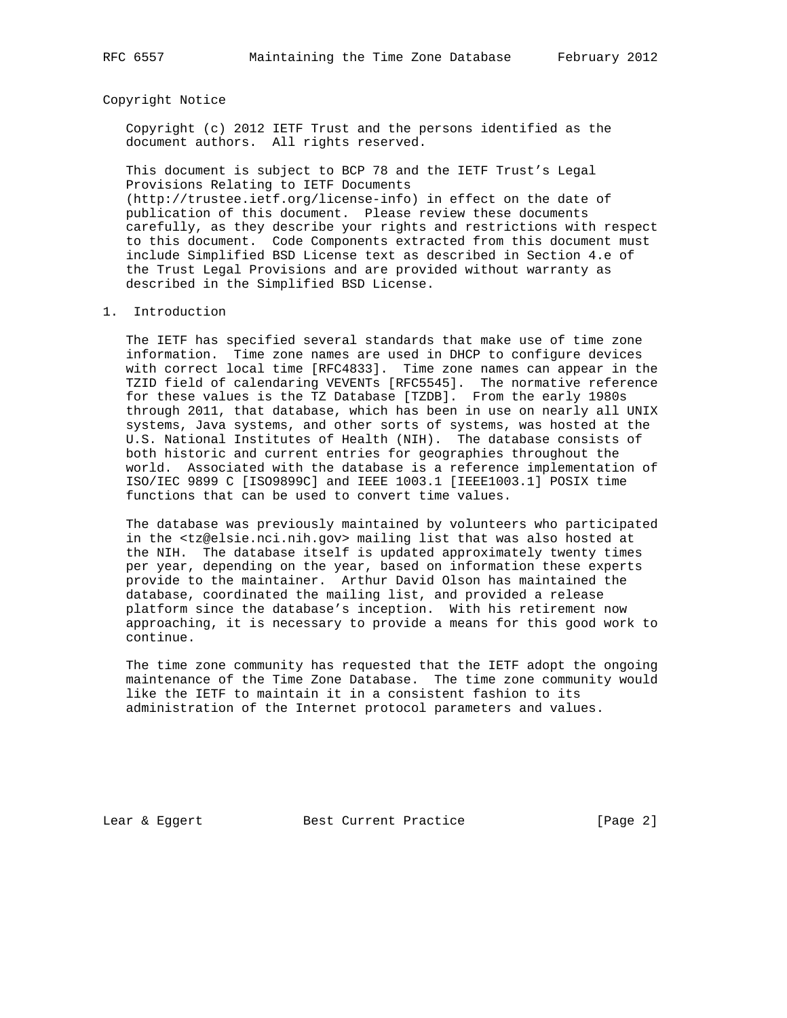## Copyright Notice

 Copyright (c) 2012 IETF Trust and the persons identified as the document authors. All rights reserved.

 This document is subject to BCP 78 and the IETF Trust's Legal Provisions Relating to IETF Documents (http://trustee.ietf.org/license-info) in effect on the date of publication of this document. Please review these documents carefully, as they describe your rights and restrictions with respect to this document. Code Components extracted from this document must include Simplified BSD License text as described in Section 4.e of the Trust Legal Provisions and are provided without warranty as described in the Simplified BSD License.

#### 1. Introduction

 The IETF has specified several standards that make use of time zone information. Time zone names are used in DHCP to configure devices with correct local time [RFC4833]. Time zone names can appear in the TZID field of calendaring VEVENTs [RFC5545]. The normative reference for these values is the TZ Database [TZDB]. From the early 1980s through 2011, that database, which has been in use on nearly all UNIX systems, Java systems, and other sorts of systems, was hosted at the U.S. National Institutes of Health (NIH). The database consists of both historic and current entries for geographies throughout the world. Associated with the database is a reference implementation of ISO/IEC 9899 C [ISO9899C] and IEEE 1003.1 [IEEE1003.1] POSIX time functions that can be used to convert time values.

 The database was previously maintained by volunteers who participated in the <tz@elsie.nci.nih.gov> mailing list that was also hosted at the NIH. The database itself is updated approximately twenty times per year, depending on the year, based on information these experts provide to the maintainer. Arthur David Olson has maintained the database, coordinated the mailing list, and provided a release platform since the database's inception. With his retirement now approaching, it is necessary to provide a means for this good work to continue.

 The time zone community has requested that the IETF adopt the ongoing maintenance of the Time Zone Database. The time zone community would like the IETF to maintain it in a consistent fashion to its administration of the Internet protocol parameters and values.

Lear & Eggert Best Current Practice [Page 2]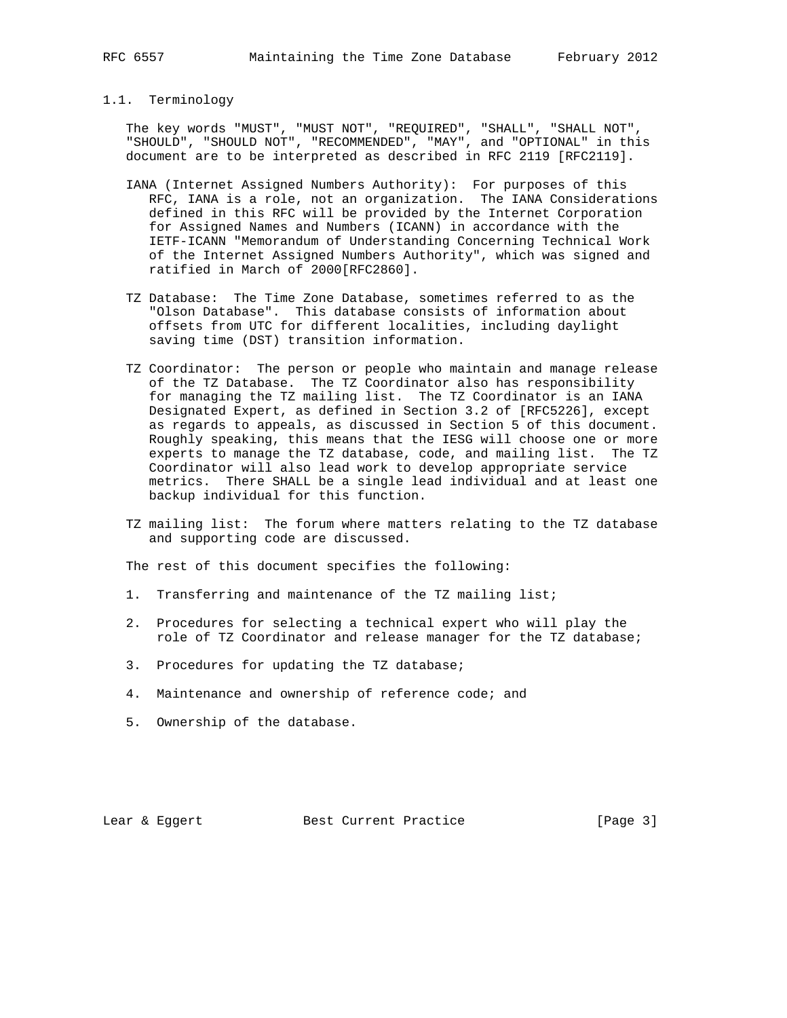# 1.1. Terminology

 The key words "MUST", "MUST NOT", "REQUIRED", "SHALL", "SHALL NOT", "SHOULD", "SHOULD NOT", "RECOMMENDED", "MAY", and "OPTIONAL" in this document are to be interpreted as described in RFC 2119 [RFC2119].

- IANA (Internet Assigned Numbers Authority): For purposes of this RFC, IANA is a role, not an organization. The IANA Considerations defined in this RFC will be provided by the Internet Corporation for Assigned Names and Numbers (ICANN) in accordance with the IETF-ICANN "Memorandum of Understanding Concerning Technical Work of the Internet Assigned Numbers Authority", which was signed and ratified in March of 2000[RFC2860].
- TZ Database: The Time Zone Database, sometimes referred to as the "Olson Database". This database consists of information about offsets from UTC for different localities, including daylight saving time (DST) transition information.
- TZ Coordinator: The person or people who maintain and manage release of the TZ Database. The TZ Coordinator also has responsibility for managing the TZ mailing list. The TZ Coordinator is an IANA Designated Expert, as defined in Section 3.2 of [RFC5226], except as regards to appeals, as discussed in Section 5 of this document. Roughly speaking, this means that the IESG will choose one or more experts to manage the TZ database, code, and mailing list. The TZ Coordinator will also lead work to develop appropriate service metrics. There SHALL be a single lead individual and at least one backup individual for this function.
- TZ mailing list: The forum where matters relating to the TZ database and supporting code are discussed.

The rest of this document specifies the following:

- 1. Transferring and maintenance of the TZ mailing list;
- 2. Procedures for selecting a technical expert who will play the role of TZ Coordinator and release manager for the TZ database;
- 3. Procedures for updating the TZ database;
- 4. Maintenance and ownership of reference code; and
- 5. Ownership of the database.

Lear & Eggert Best Current Practice [Page 3]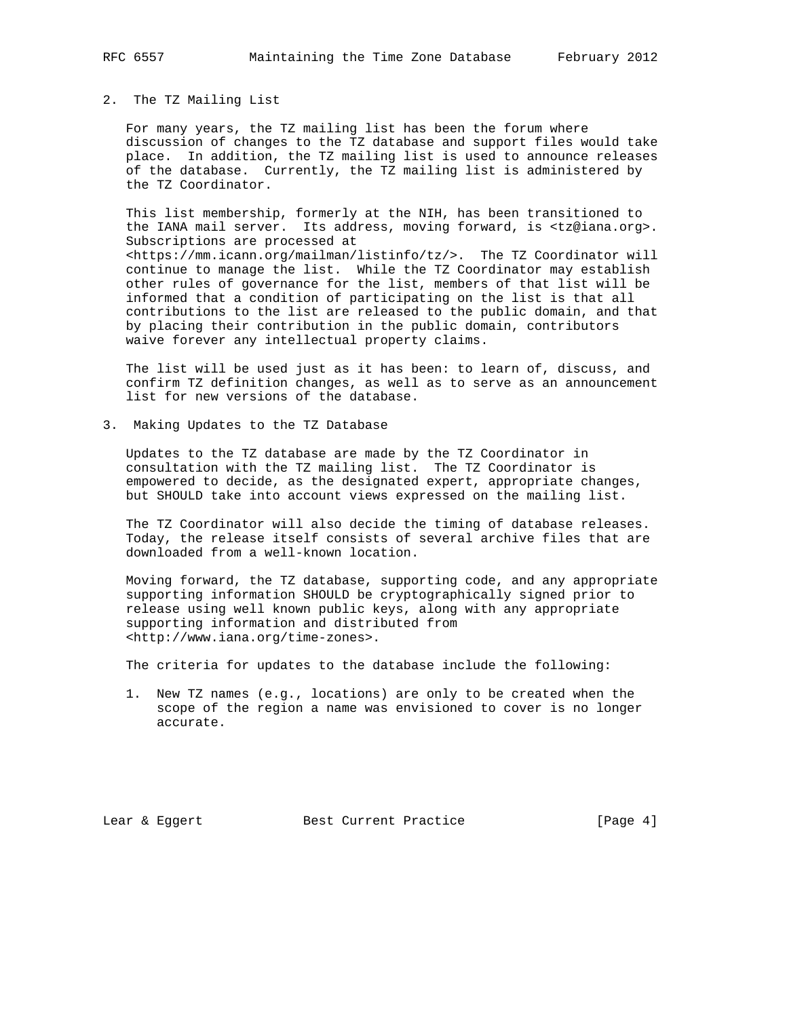### 2. The TZ Mailing List

 For many years, the TZ mailing list has been the forum where discussion of changes to the TZ database and support files would take place. In addition, the TZ mailing list is used to announce releases of the database. Currently, the TZ mailing list is administered by the TZ Coordinator.

 This list membership, formerly at the NIH, has been transitioned to the IANA mail server. Its address, moving forward, is <tz@iana.org>. Subscriptions are processed at <https://mm.icann.org/mailman/listinfo/tz/>. The TZ Coordinator will continue to manage the list. While the TZ Coordinator may establish other rules of governance for the list, members of that list will be informed that a condition of participating on the list is that all contributions to the list are released to the public domain, and that by placing their contribution in the public domain, contributors waive forever any intellectual property claims.

 The list will be used just as it has been: to learn of, discuss, and confirm TZ definition changes, as well as to serve as an announcement list for new versions of the database.

3. Making Updates to the TZ Database

 Updates to the TZ database are made by the TZ Coordinator in consultation with the TZ mailing list. The TZ Coordinator is empowered to decide, as the designated expert, appropriate changes, but SHOULD take into account views expressed on the mailing list.

 The TZ Coordinator will also decide the timing of database releases. Today, the release itself consists of several archive files that are downloaded from a well-known location.

 Moving forward, the TZ database, supporting code, and any appropriate supporting information SHOULD be cryptographically signed prior to release using well known public keys, along with any appropriate supporting information and distributed from <http://www.iana.org/time-zones>.

The criteria for updates to the database include the following:

 1. New TZ names (e.g., locations) are only to be created when the scope of the region a name was envisioned to cover is no longer accurate.

Lear & Eggert Best Current Practice [Page 4]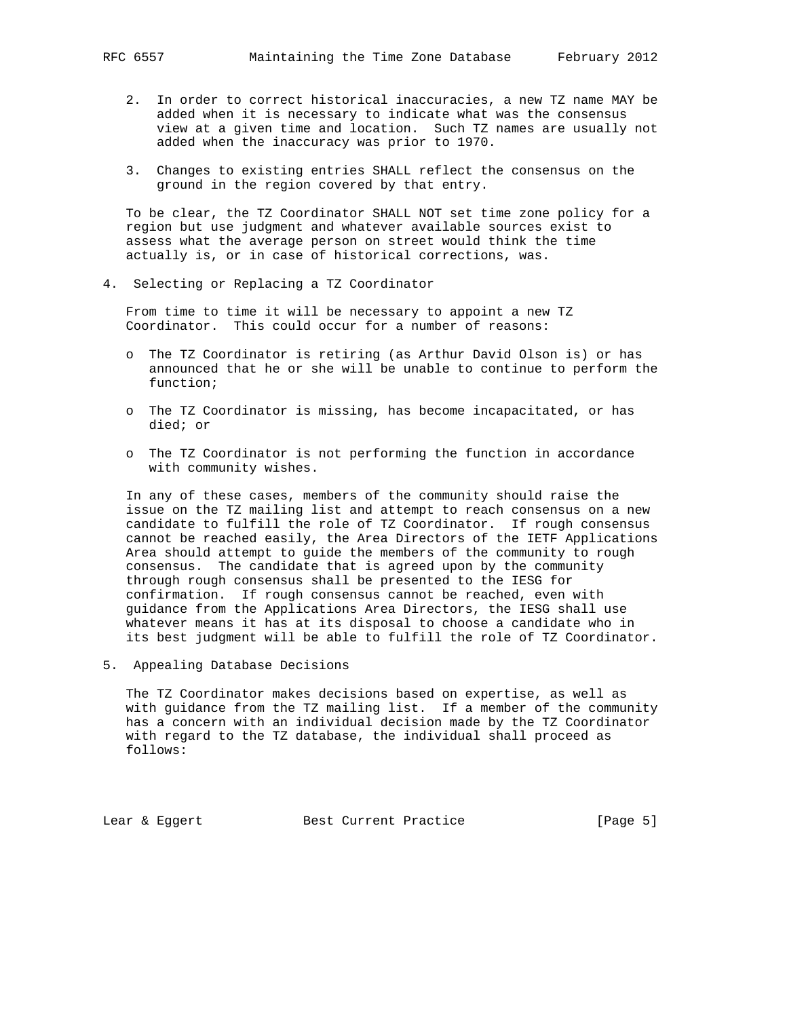- 2. In order to correct historical inaccuracies, a new TZ name MAY be added when it is necessary to indicate what was the consensus view at a given time and location. Such TZ names are usually not added when the inaccuracy was prior to 1970.
- 3. Changes to existing entries SHALL reflect the consensus on the ground in the region covered by that entry.

 To be clear, the TZ Coordinator SHALL NOT set time zone policy for a region but use judgment and whatever available sources exist to assess what the average person on street would think the time actually is, or in case of historical corrections, was.

4. Selecting or Replacing a TZ Coordinator

 From time to time it will be necessary to appoint a new TZ Coordinator. This could occur for a number of reasons:

- o The TZ Coordinator is retiring (as Arthur David Olson is) or has announced that he or she will be unable to continue to perform the function;
- o The TZ Coordinator is missing, has become incapacitated, or has died; or
- o The TZ Coordinator is not performing the function in accordance with community wishes.

 In any of these cases, members of the community should raise the issue on the TZ mailing list and attempt to reach consensus on a new candidate to fulfill the role of TZ Coordinator. If rough consensus cannot be reached easily, the Area Directors of the IETF Applications Area should attempt to guide the members of the community to rough consensus. The candidate that is agreed upon by the community through rough consensus shall be presented to the IESG for confirmation. If rough consensus cannot be reached, even with guidance from the Applications Area Directors, the IESG shall use whatever means it has at its disposal to choose a candidate who in its best judgment will be able to fulfill the role of TZ Coordinator.

5. Appealing Database Decisions

 The TZ Coordinator makes decisions based on expertise, as well as with guidance from the TZ mailing list. If a member of the community has a concern with an individual decision made by the TZ Coordinator with regard to the TZ database, the individual shall proceed as follows:

Lear & Eggert Best Current Practice [Page 5]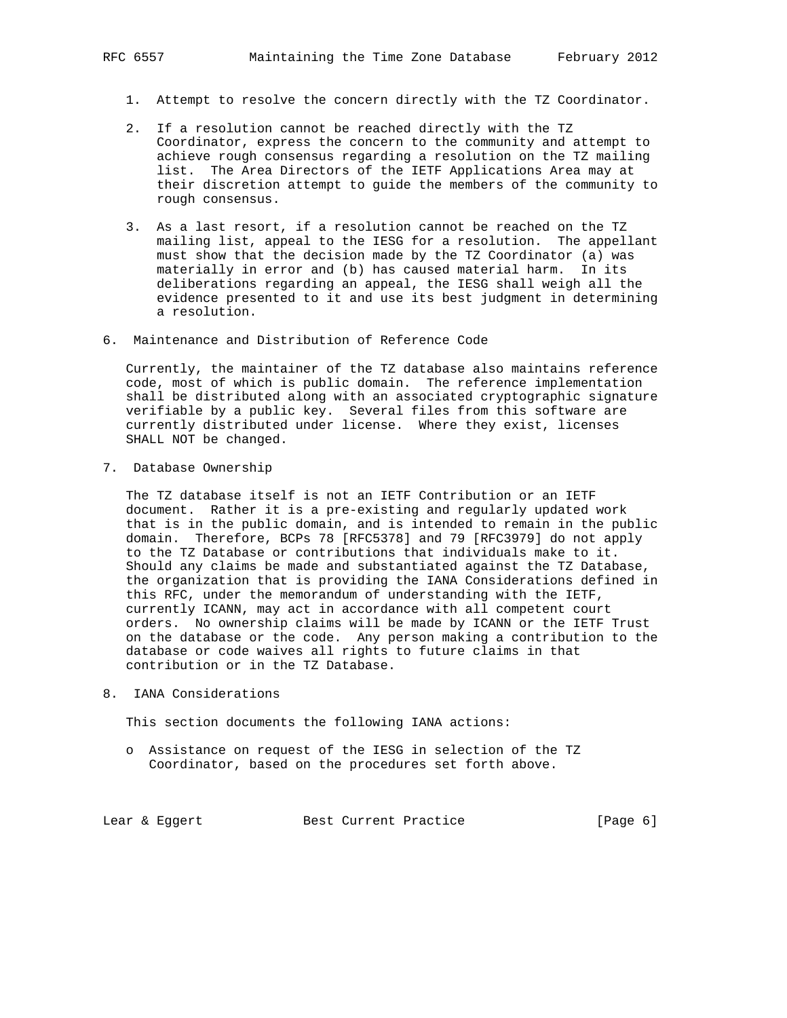- 1. Attempt to resolve the concern directly with the TZ Coordinator.
- 2. If a resolution cannot be reached directly with the TZ Coordinator, express the concern to the community and attempt to achieve rough consensus regarding a resolution on the TZ mailing list. The Area Directors of the IETF Applications Area may at their discretion attempt to guide the members of the community to rough consensus.
- 3. As a last resort, if a resolution cannot be reached on the TZ mailing list, appeal to the IESG for a resolution. The appellant must show that the decision made by the TZ Coordinator (a) was materially in error and (b) has caused material harm. In its deliberations regarding an appeal, the IESG shall weigh all the evidence presented to it and use its best judgment in determining a resolution.
- 6. Maintenance and Distribution of Reference Code

 Currently, the maintainer of the TZ database also maintains reference code, most of which is public domain. The reference implementation shall be distributed along with an associated cryptographic signature verifiable by a public key. Several files from this software are currently distributed under license. Where they exist, licenses SHALL NOT be changed.

7. Database Ownership

 The TZ database itself is not an IETF Contribution or an IETF document. Rather it is a pre-existing and regularly updated work that is in the public domain, and is intended to remain in the public domain. Therefore, BCPs 78 [RFC5378] and 79 [RFC3979] do not apply to the TZ Database or contributions that individuals make to it. Should any claims be made and substantiated against the TZ Database, the organization that is providing the IANA Considerations defined in this RFC, under the memorandum of understanding with the IETF, currently ICANN, may act in accordance with all competent court orders. No ownership claims will be made by ICANN or the IETF Trust on the database or the code. Any person making a contribution to the database or code waives all rights to future claims in that contribution or in the TZ Database.

8. IANA Considerations

This section documents the following IANA actions:

 o Assistance on request of the IESG in selection of the TZ Coordinator, based on the procedures set forth above.

Lear & Eggert Best Current Practice [Page 6]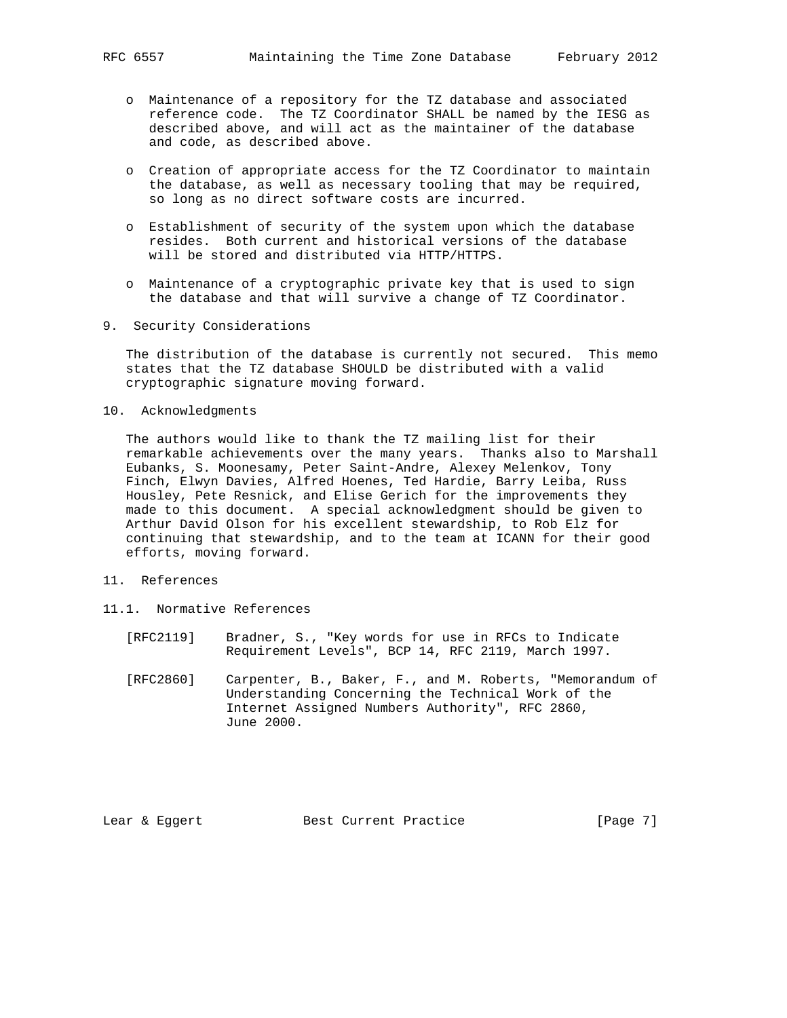- o Maintenance of a repository for the TZ database and associated reference code. The TZ Coordinator SHALL be named by the IESG as described above, and will act as the maintainer of the database and code, as described above.
	- o Creation of appropriate access for the TZ Coordinator to maintain the database, as well as necessary tooling that may be required, so long as no direct software costs are incurred.
	- o Establishment of security of the system upon which the database resides. Both current and historical versions of the database will be stored and distributed via HTTP/HTTPS.
	- o Maintenance of a cryptographic private key that is used to sign the database and that will survive a change of TZ Coordinator.
- 9. Security Considerations

 The distribution of the database is currently not secured. This memo states that the TZ database SHOULD be distributed with a valid cryptographic signature moving forward.

10. Acknowledgments

 The authors would like to thank the TZ mailing list for their remarkable achievements over the many years. Thanks also to Marshall Eubanks, S. Moonesamy, Peter Saint-Andre, Alexey Melenkov, Tony Finch, Elwyn Davies, Alfred Hoenes, Ted Hardie, Barry Leiba, Russ Housley, Pete Resnick, and Elise Gerich for the improvements they made to this document. A special acknowledgment should be given to Arthur David Olson for his excellent stewardship, to Rob Elz for continuing that stewardship, and to the team at ICANN for their good efforts, moving forward.

- 11. References
- 11.1. Normative References
	- [RFC2119] Bradner, S., "Key words for use in RFCs to Indicate Requirement Levels", BCP 14, RFC 2119, March 1997.
	- [RFC2860] Carpenter, B., Baker, F., and M. Roberts, "Memorandum of Understanding Concerning the Technical Work of the Internet Assigned Numbers Authority", RFC 2860, June 2000.

Lear & Eggert Best Current Practice [Page 7]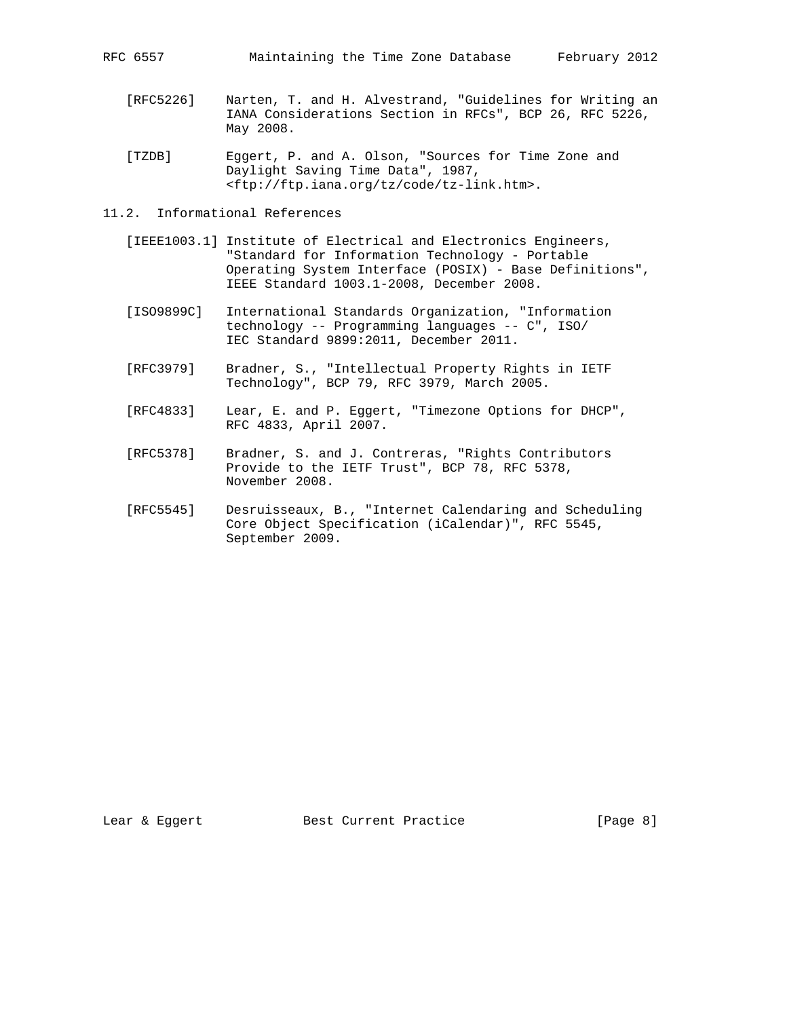- [RFC5226] Narten, T. and H. Alvestrand, "Guidelines for Writing an IANA Considerations Section in RFCs", BCP 26, RFC 5226, May 2008.
- [TZDB] Eggert, P. and A. Olson, "Sources for Time Zone and Daylight Saving Time Data", 1987, <ftp://ftp.iana.org/tz/code/tz-link.htm>.
- 11.2. Informational References
	- [IEEE1003.1] Institute of Electrical and Electronics Engineers, "Standard for Information Technology - Portable Operating System Interface (POSIX) - Base Definitions", IEEE Standard 1003.1-2008, December 2008.
	- [ISO9899C] International Standards Organization, "Information technology -- Programming languages -- C", ISO/ IEC Standard 9899:2011, December 2011.
	- [RFC3979] Bradner, S., "Intellectual Property Rights in IETF Technology", BCP 79, RFC 3979, March 2005.
	- [RFC4833] Lear, E. and P. Eggert, "Timezone Options for DHCP", RFC 4833, April 2007.
	- [RFC5378] Bradner, S. and J. Contreras, "Rights Contributors Provide to the IETF Trust", BCP 78, RFC 5378, November 2008.
	- [RFC5545] Desruisseaux, B., "Internet Calendaring and Scheduling Core Object Specification (iCalendar)", RFC 5545, September 2009.

Lear & Eggert Best Current Practice [Page 8]